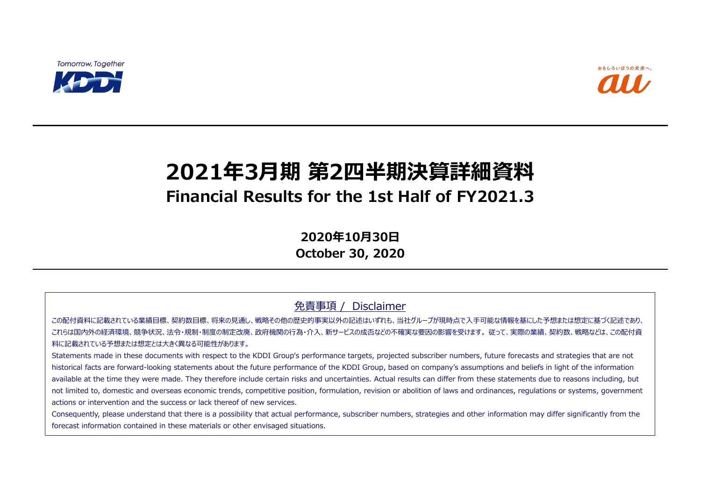**Tomorrow, Together** 



# **2021年3月期 第2四半期決算詳細資料 Financial Results for the 1st Half of FY2021.3**

**2020年10月30日 October 30, 2020**

免責事項 / Disclaimer

この配付資料に記載されている業績目標、契約数目標、将来の見通し、戦略その他の歴史的事実以外の記述はいずれも、当社グループが現時点で入手可能な情報を基にした予想または想定に基づく記述であり、 これらは国内外の経済環境、競争状況、法令・規制・制度の制定改廃、政府機関の行為・介入、新サービスの成否などの不確実な要因の影響を受けます。 従って、実際の業績、契約数、戦略などは、この配付資 料に記載されている予想または想定とは大きく異なる可能性があります。

Statements made in these documents with respect to the KDDI Group's performance targets, projected subscriber numbers, future forecasts and strategies that are not historical facts are forward-looking statements about the future performance of the KDDI Group, based on company's assumptions and beliefs in light of the information available at the time they were made. They therefore include certain risks and uncertainties. Actual results can differ from these statements due to reasons including, but not limited to, domestic and overseas economic trends, competitive position, formulation, revision or abolition of laws and ordinances, regulations or systems, government actions or intervention and the success or lack thereof of new services.

Consequently, please understand that there is a possibility that actual performance, subscriber numbers, strategies and other information may differ significantly from the forecast information contained in these materials or other envisaged situations.



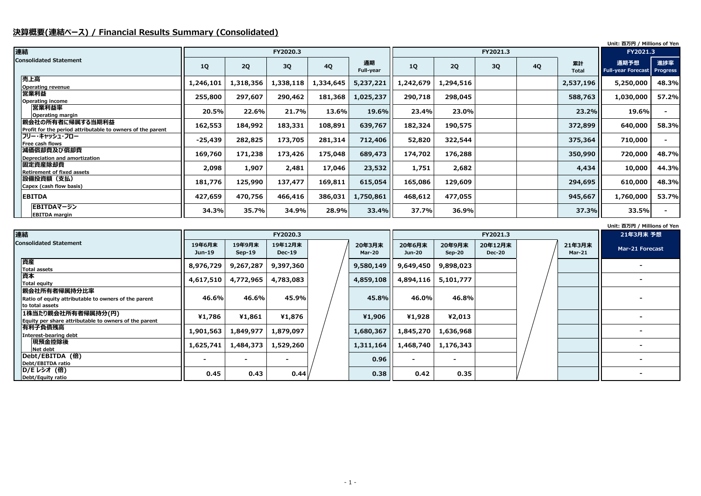## **決算概要(連結ベース) / Financial Results Summary (Consolidated)**

#### **Unit: 百万円 / Millions of Yen**

|    |                    | Unit: 百万円 / Millions of Yen       |                        |
|----|--------------------|-----------------------------------|------------------------|
|    |                    | FY2021.3                          |                        |
| 4Q | 累計<br><b>Total</b> | 通期予想<br><b>Full-year Forecast</b> | 進捗率<br><b>Progress</b> |
|    | 2,537,196          | 5,250,000                         | 48.3%                  |
|    | 588,763            | 1,030,000                         | 57.2%                  |
|    | 23.2%              | 19.6%                             |                        |
|    | 372,899            | 640,000                           | 58.3%                  |
|    | 375,364            | 710,000                           |                        |
|    | 350,990            | 720,000                           | 48.7%                  |
|    | 4,434              | 10,000                            | 44.3%                  |
|    | 294,695            | 610,000                           | 48.3%                  |
|    | 945,667            | 1,760,000                         | 53.7%                  |
|    | 37.3%              | 33.5%                             |                        |

| 連結                                                                             |           |           | FY2020.3  |           |                 |           |           |    | FY2021.3  |                    |                                   |                        |
|--------------------------------------------------------------------------------|-----------|-----------|-----------|-----------|-----------------|-----------|-----------|----|-----------|--------------------|-----------------------------------|------------------------|
| <b>Consolidated Statement</b>                                                  | <b>1Q</b> | 2Q        | 3Q        | <b>4Q</b> | 通期<br>Full-year | 1Q        | 2Q        | 3Q | <b>4Q</b> | 累計<br><b>Total</b> | 通期予想<br><b>Full-year Forecast</b> | 進捗率<br><b>Progress</b> |
| 売上高<br><b>Operating revenue</b>                                                | 1,246,101 | 1,318,356 | 1,338,118 | 1,334,645 | 5,237,221       | 1,242,679 | 1,294,516 |    |           | 2,537,196          | 5,250,000                         | 48.3%                  |
| 営業利益<br><b>Operating income</b>                                                | 255,800   | 297,607   | 290,462   | 181,368   | 1,025,237       | 290,718   | 298,045   |    |           | 588,763            | 1,030,000                         | 57.2%                  |
| 営業利益率<br><b>Operating margin</b>                                               | 20.5%     | 22.6%     | 21.7%     | 13.6%     | 19.6%           | 23.4%     | 23.0%     |    |           | 23.2%              | 19.6%                             | $\sim$                 |
| 親会社の所有者に帰属する当期利益<br>Profit for the period attributable to owners of the parent | 162,553   | 184,992   | 183,331   | 108,891   | 639,767         | 182,324   | 190,575   |    |           | 372,899            | 640,000                           | 58.3%                  |
| フリー・キャッシュ・フロー<br>Free cash flows                                               | $-25,439$ | 282,825   | 173,705   | 281,314   | 712,406         | 52,820    | 322,544   |    |           | 375,364            | 710,000                           |                        |
| 減価償却費及び償却費<br>Depreciation and amortization                                    | 169,760   | 171,238   | 173,426   | 175,048   | 689,473         | 174,702   | 176,288   |    |           | 350,990            | 720,000                           | 48.7%                  |
| 固定資産除却費<br><b>Retirement of fixed assets</b>                                   | 2,098     | 1,907     | 2,481     | 17,046    | 23,532          | 1,751     | 2,682     |    |           | 4,434              | 10,000                            | 44.3%                  |
| 設備投資額(支払)<br>Capex (cash flow basis)                                           | 181,776   | 125,990   | 137,477   | 169,811   | 615,054         | 165,086   | 129,609   |    |           | 294,695            | 610,000                           | 48.3%                  |
| <b>EBITDA</b>                                                                  | 427,659   | 470,756   | 466,416   | 386,031   | 1,750,861       | 468,612   | 477,055   |    |           | 945,667            | 1,760,000                         | 53.7%                  |
| EBITDAマージン<br><b>EBITDA</b> margin                                             | 34.3%     | 35.7%     | 34.9%     | 28.9%     | 33.4%           | 37.7%     | 36.9%     |    |           | 37.3%              | 33.5%                             | $\sim$                 |

| 連結                                                                                      |                    |                    | <b>FY2020.3</b>     |                         |                          |                    | FY2021.3                 |  |
|-----------------------------------------------------------------------------------------|--------------------|--------------------|---------------------|-------------------------|--------------------------|--------------------|--------------------------|--|
| <b>Consolidated Statement</b>                                                           | 19年6月末<br>$Jun-19$ | 19年9月末<br>$Sep-19$ | 19年12月末<br>$Dec-19$ | 20年3月末<br><b>Mar-20</b> | 20年6月末<br>Jun-20         | 20年9月末<br>$Sep-20$ | 20年12月末<br><b>Dec-20</b> |  |
| 資産<br><b>Total assets</b>                                                               | 8,976,729          | 9,267,287          | 9,397,360           | 9,580,149               | 9,649,450                | 9,898,023          |                          |  |
| 資本<br><b>Total equity</b>                                                               | 4,617,510          | 4,772,965          | 4,783,083           | 4,859,108               | 4,894,116                | 5,101,777          |                          |  |
| 親会社所有者帰属持分比率<br>Ratio of equity attributable to owners of the parent<br>to total assets | 46.6%              | 46.6%              | 45.9%               | 45.8%                   | 46.0%                    | 46.8%              |                          |  |
| 1株当たり親会社所有者帰属持分(円)<br>Equity per share attributable to owners of the parent             | ¥1,786             | ¥1,861             | ¥1,876              | ¥1,906                  | ¥1,928                   | ¥2,013             |                          |  |
| 有利子負債残高<br>Interest-bearing debt                                                        | 1,901,563          | 1,849,977          | 1,879,097           | 1,680,367               | 1,845,270                | 1,636,968          |                          |  |
| 現預金控除後<br>Net debt                                                                      | 1,625,741          | 1,484,373          | 1,529,260           | 1,311,164               | 1,468,740                | 1,176,343          |                          |  |
| Debt/EBITDA (倍)<br>Debt/EBITDA ratio                                                    |                    |                    |                     | 0.96                    | $\overline{\phantom{0}}$ |                    |                          |  |
| D/E レシオ (倍)<br>Debt/Equity ratio                                                        | 0.45               | 0.43               | 0.44                | 0.38                    | 0.42                     | 0.35               |                          |  |

|                         | .<br>21年3月末 予想  |
|-------------------------|-----------------|
| 21年3月末<br><b>Mar-21</b> | Mar-21 Forecast |
|                         |                 |
|                         |                 |
|                         |                 |
|                         |                 |
|                         |                 |
|                         |                 |
|                         |                 |
|                         |                 |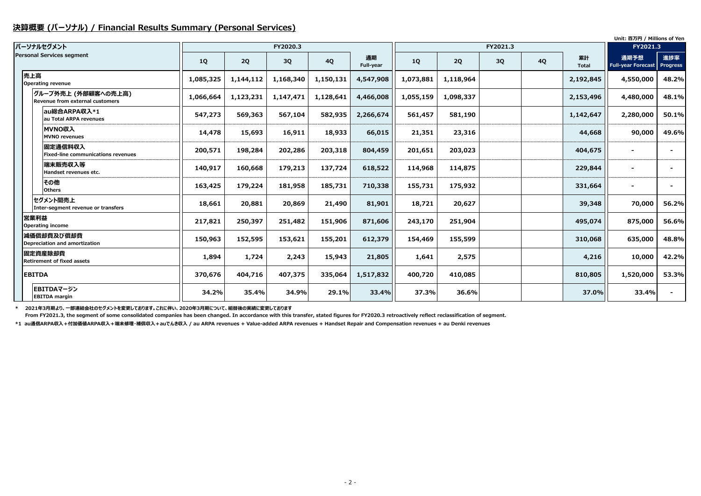#### **決算概要 (パーソナル) / Financial Results Summary (Personal Services)**

|                                                        |           |           |           |           |                 |           |           |          |           |                    | Unit: 百万円 / Millions of Yen       |                        |
|--------------------------------------------------------|-----------|-----------|-----------|-----------|-----------------|-----------|-----------|----------|-----------|--------------------|-----------------------------------|------------------------|
| パーソナルセグメント                                             |           |           | FY2020.3  |           |                 |           |           | FY2021.3 |           |                    | FY2021.3                          |                        |
| <b>Personal Services segment</b>                       | <b>1Q</b> | 2Q        | 3Q        | <b>4Q</b> | 通期<br>Full-year | 1Q        | 2Q        | 3Q       | <b>4Q</b> | 累計<br><b>Total</b> | 通期予想<br><b>Full-year Forecast</b> | 進捗率<br><b>Progress</b> |
| 売上高<br><b>Operating revenue</b>                        | 1,085,325 | 1,144,112 | 1,168,340 | 1,150,131 | 4,547,908       | 1,073,881 | 1,118,964 |          |           | 2,192,845          | 4,550,000                         | 48.2%                  |
| グループ外売上 (外部顧客への売上高)<br>Revenue from external customers | 1,066,664 | 1,123,231 | 1,147,471 | 1,128,641 | 4,466,008       | 1,055,159 | 1,098,337 |          |           | 2,153,496          | 4,480,000                         | 48.1%                  |
| au総合ARPA収入*1<br>au Total ARPA revenues                 | 547,273   | 569,363   | 567,104   | 582,935   | 2,266,674       | 561,457   | 581,190   |          |           | 1,142,647          | 2,280,000                         | 50.1%                  |
| MVNO収入<br><b>MVNO revenues</b>                         | 14,478    | 15,693    | 16,911    | 18,933    | 66,015          | 21,351    | 23,316    |          |           | 44,668             | 90,000                            | 49.6%                  |
| 固定通信料収入<br><b>Fixed-line communications revenues</b>   | 200,571   | 198,284   | 202,286   | 203,318   | 804,459         | 201,651   | 203,023   |          |           | 404,675            |                                   |                        |
| 端末販売収入等<br>Handset revenues etc.                       | 140,917   | 160,668   | 179,213   | 137,724   | 618,522         | 114,968   | 114,875   |          |           | 229,844            |                                   |                        |
| その他<br><b>Others</b>                                   | 163,425   | 179,224   | 181,958   | 185,731   | 710,338         | 155,731   | 175,932   |          |           | 331,664            |                                   |                        |
| セグメント間売上<br>Inter-segment revenue or transfers         | 18,661    | 20,881    | 20,869    | 21,490    | 81,901          | 18,721    | 20,627    |          |           | 39,348             | 70,000                            | 56.2%                  |
| 営業利益<br><b>Operating income</b>                        | 217,821   | 250,397   | 251,482   | 151,906   | 871,606         | 243,170   | 251,904   |          |           | 495,074            | 875,000                           | 56.6%                  |
| 減価償却費及び償却費<br>Depreciation and amortization            | 150,963   | 152,595   | 153,621   | 155,201   | 612,379         | 154,469   | 155,599   |          |           | 310,068            | 635,000                           | 48.8%                  |
| 固定資産除却費<br><b>Retirement of fixed assets</b>           | 1,894     | 1,724     | 2,243     | 15,943    | 21,805          | 1,641     | 2,575     |          |           | 4,216              | 10,000                            | 42.2%                  |
| <b>EBITDA</b>                                          | 370,676   | 404,716   | 407,375   | 335,064   | 1,517,832       | 400,720   | 410,085   |          |           | 810,805            | 1,520,000                         | 53.3%                  |
| EBITDAマージン<br><b>EBITDA</b> margin                     | 34.2%     | 35.4%     | 34.9%     | 29.1%     | 33.4%           | 37.3%     | 36.6%     |          |           | 37.0%              | 33.4%                             |                        |

**\* 2021年3月期より、一部連結会社のセグメントを変更しております。これに伴い、2020年3月期について、組替後の実績に変更しております**

 **From FY2021.3, the segment of some consolidated companies has been changed. In accordance with this transfer, stated figures for FY2020.3 retroactively reflect reclassification of segment.**

**\*1 au通信ARPA収入+付加価値ARPA収入+端末修理・補償収入+auでんき収入 / au ARPA revenues + Value-added ARPA revenues + Handset Repair and Compensation revenues + au Denki revenues**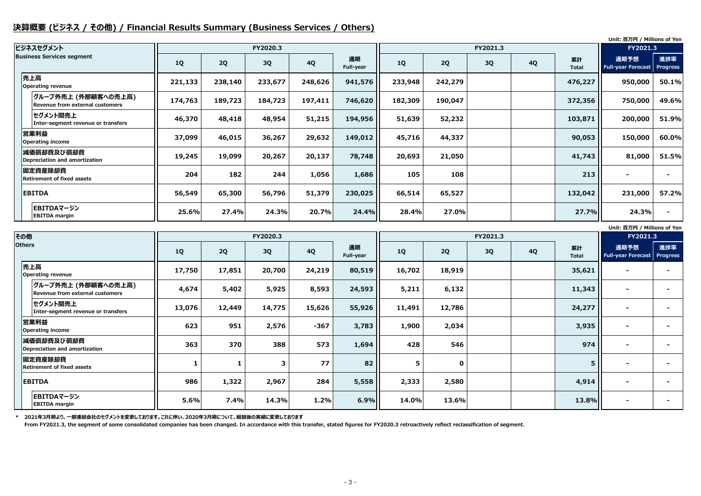### **決算概要 (ビジネス / その他) / Financial Results Summary (Business Services / Others)**

**Unit: 百万円 / Millions of Yen**

**Unit: 百万円 / Millions of Yen**

|                                                                |           |         |          |           |                 |         |         |          |           |                    | Unit: 白万円 / Millions of Yen       |                        |
|----------------------------------------------------------------|-----------|---------|----------|-----------|-----------------|---------|---------|----------|-----------|--------------------|-----------------------------------|------------------------|
| ビジネスセグメント                                                      |           |         | FY2020.3 |           |                 |         |         | FY2021.3 |           |                    | FY2021.3                          |                        |
| <b>Business Services segment</b>                               | <b>1Q</b> | 2Q      | 3Q       | <b>4Q</b> | 通期<br>Full-year | 1Q      | 2Q      | 3Q       | <b>4Q</b> | 累計<br><b>Total</b> | 通期予想<br><b>Full-year Forecast</b> | 進捗率<br><b>Progress</b> |
| 売上高<br><b>Operating revenue</b>                                | 221,133   | 238,140 | 233,677  | 248,626   | 941,576         | 233,948 | 242,279 |          |           | 476,227            | 950,000                           | 50.1%                  |
| グループ外売上 (外部顧客への売上高) <br><b>Revenue from external customers</b> | 174,763   | 189,723 | 184,723  | 197,411   | 746,620         | 182,309 | 190,047 |          |           | 372,356            | 750,000                           | 49.6%                  |
| セグメント間売上<br>Inter-segment revenue or transfers                 | 46,370    | 48,418  | 48,954   | 51,215    | 194,956         | 51,639  | 52,232  |          |           | 103,871            | 200,000                           | 51.9%                  |
| 営業利益<br><b>Operating income</b>                                | 37,099    | 46,015  | 36,267   | 29,632    | 149,012         | 45,716  | 44,337  |          |           | 90,053             | 150,000                           | 60.0%                  |
| 減価償却費及び償却費<br>Depreciation and amortization                    | 19,245    | 19,099  | 20,267   | 20,137    | 78,748          | 20,693  | 21,050  |          |           | 41,743             | 81,000                            | 51.5%                  |
| 固定資産除却費<br><b>Retirement of fixed assets</b>                   | 204       | 182     | 244      | 1,056     | 1,686           | 105     | 108     |          |           | 213                | $\blacksquare$                    |                        |
| <b>EBITDA</b>                                                  | 56,549    | 65,300  | 56,796   | 51,379    | 230,025         | 66,514  | 65,527  |          |           | 132,042            | 231,000                           | 57.2%                  |
| EBITDAマージン<br><b>EBITDA</b> margin                             | 25.6%     | 27.4%   | 24.3%    | 20.7%     | 24.4%           | 28.4%   | 27.0%   |          |           | 27.7%              | 24.3%                             |                        |

**\* 2021年3月期より、一部連結会社のセグメントを変更しております。これに伴い、2020年3月期について、組替後の実績に変更しております**

 **From FY2021.3, the segment of some consolidated companies has been changed. In accordance with this transfer, stated figures for FY2020.3 retroactively reflect reclassification of segment.**

| その他           |                                                        |        |        | FY2020.3 |           |                 |          |             |    | FY2021.3  |                    |                                   |                        |
|---------------|--------------------------------------------------------|--------|--------|----------|-----------|-----------------|----------|-------------|----|-----------|--------------------|-----------------------------------|------------------------|
| <b>Others</b> |                                                        | 1Q     | 2Q     | 3Q       | <b>4Q</b> | 通期<br>Full-year | 1Q       | 2Q          | 3Q | <b>4Q</b> | 累計<br><b>Total</b> | 通期予想<br><b>Full-year Forecast</b> | 進捗率<br><b>Progress</b> |
|               | 売上高<br><b>Operating revenue</b>                        | 17,750 | 17,851 | 20,700   | 24,219    | 80,519          | 16,702   | 18,919      |    |           | 35,621             | $\blacksquare$                    |                        |
|               | グループ外売上 (外部顧客への売上高)<br>Revenue from external customers | 4,674  | 5,402  | 5,925    | 8,593     | 24,593          | 5,211    | 6,132       |    |           | 11,343             | $\blacksquare$                    |                        |
|               | セグメント間売上<br>Inter-segment revenue or transfers         | 13,076 | 12,449 | 14,775   | 15,626    | 55,926          | 11,491   | 12,786      |    |           | 24,277             | $\blacksquare$                    |                        |
|               | 営業利益<br><b>Operating income</b>                        | 623    | 951    | 2,576    | $-367$    | 3,783           | 1,900    | 2,034       |    |           | 3,935              | $\blacksquare$                    |                        |
|               | 減価償却費及び償却費<br>Depreciation and amortization            | 363    | 370    | 388      | 573       | 1,694           | 428      | 546         |    |           | 974                | $\blacksquare$                    |                        |
|               | 固定資産除却費<br><b>Retirement of fixed assets</b>           |        |        | 3        | 77        | 82              | 5        | $\mathbf 0$ |    |           | $5\phantom{1}$     | $\blacksquare$                    |                        |
|               | <b>EBITDA</b>                                          | 986    | 1,322  | 2,967    | 284       | 5,558           | 2,333    | 2,580       |    |           | 4,914              | $\blacksquare$                    |                        |
|               | EBITDAマージン<br><b>EBITDA</b> margin                     | 5.6%   | 7.4%   | 14.3%    | 1.2%      | 6.9%            | $14.0\%$ | 13.6%       |    |           | 13.8%              | $\blacksquare$                    |                        |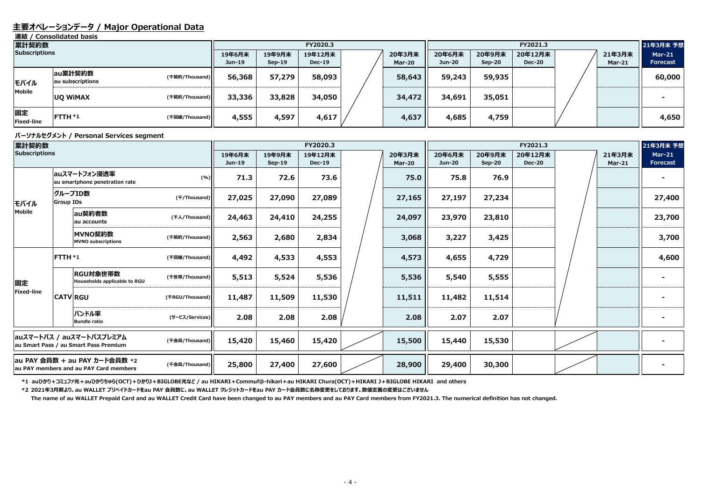#### **主要オペレーションデータ / Major Operational Data**

**連結 / Consolidated basis**

#### **パーソナルセグメント / Personal Services segment**

| 累計契約数                   |                             |                |                  |                    | FY2020.3                 |                  | FY2021.3         |                    |                          |  |                         | 21年3月末 予想                        |
|-------------------------|-----------------------------|----------------|------------------|--------------------|--------------------------|------------------|------------------|--------------------|--------------------------|--|-------------------------|----------------------------------|
| <b>Subscriptions</b>    |                             |                | 19年6月末<br>Jun-19 | 19年9月末<br>$Sep-19$ | 19年12月末<br><b>Dec-19</b> | 20年3月末<br>Mar-20 | 20年6月末<br>Jun-20 | 20年9月末<br>$Sep-20$ | 20年12月末<br><b>Dec-20</b> |  | 21年3月末<br><b>Mar-21</b> | <b>Mar-21</b><br><b>Forecast</b> |
| モバイル                    | au累計契約数<br>au subscriptions | (千契約/Thousand) | 56,368           | 57,279             | 58,093                   | 58,643           | 59,243           | 59,935             |                          |  |                         | 60,000                           |
| Mobile                  | <b>UQ WIMAX</b>             | (千契約/Thousand) | 33,336           | 33,828             | 34,050                   | 34,472           | 34,691           | 35,051             |                          |  |                         |                                  |
| 固定<br><b>Fixed-line</b> | $FTTH*1$                    | (千回線/Thousand) | 4,555            | 4,597              | 4,617                    | 4,637            | 4,685            | 4,759              |                          |  |                         | 4,650                            |

**\*2 2021年3月期より、au WALLET プリペイドカードをau PAY 会員数に、au WALLET クレジットカードをau PAY カード会員数に名称変更をしております。数値定義の変更はございません** 

| 累計契約数                                                                   |                                                                   |                                                |                 |                  |                    | FY2020.3                 |                         | FY2021.3                |                    |                          |  |                         | 21年3月末 予想                        |
|-------------------------------------------------------------------------|-------------------------------------------------------------------|------------------------------------------------|-----------------|------------------|--------------------|--------------------------|-------------------------|-------------------------|--------------------|--------------------------|--|-------------------------|----------------------------------|
| <b>Subscriptions</b>                                                    |                                                                   |                                                |                 | 19年6月末<br>Jun-19 | 19年9月末<br>$Sep-19$ | 19年12月末<br><b>Dec-19</b> | 20年3月末<br><b>Mar-20</b> | 20年6月末<br><b>Jun-20</b> | 20年9月末<br>$Sep-20$ | 20年12月末<br><b>Dec-20</b> |  | 21年3月末<br><b>Mar-21</b> | <b>Mar-21</b><br><b>Forecast</b> |
|                                                                         |                                                                   | auスマートフォン浸透率<br>au smartphone penetration rate | (%)]            | 71.3             | 72.6               | 73.6                     | 75.0                    | 75.8                    | 76.9               |                          |  |                         |                                  |
| モバイル                                                                    | <b>Group IDs</b>                                                  | グループID数                                        | (f/Thousand)    | 27,025           | 27,090             | 27,089                   | 27,165                  | 27,197                  | 27,234             |                          |  |                         | 27,400                           |
| Mobile                                                                  |                                                                   | au契約者数<br>au accounts                          | (千人/Thousand)   | 24,463           | 24,410             | 24,255                   | 24,097                  | 23,970                  | 23,810             |                          |  |                         | 23,700                           |
|                                                                         |                                                                   | MVNO契約数<br><b>MVNO subscriptions</b>           | (千契約/Thousand)  | 2,563            | 2,680              | 2,834                    | 3,068                   | 3,227                   | 3,425              |                          |  |                         | 3,700                            |
|                                                                         | FTTH *1                                                           |                                                | (千回線/Thousand)  | 4,492            | 4,533              | 4,553                    | 4,573                   | 4,655                   | 4,729              |                          |  |                         | 4,600                            |
| 固定                                                                      |                                                                   | RGU対象世帯数<br>Households applicable to RGU       | (千世帯/Thousand)  | 5,513            | 5,524              | 5,536                    | 5,536                   | 5,540                   | 5,555              |                          |  |                         |                                  |
| Fixed-line                                                              |                                                                   | <b>CATV RGU</b>                                | (FRGU/Thousand) | 11,487           | 11,509             | 11,530                   | 11,511                  | 11,482                  | 11,514             |                          |  |                         |                                  |
|                                                                         |                                                                   | バンドル率<br><b>Bundle ratio</b>                   | (サービス/Services) | 2.08             | 2.08               | 2.08                     | 2.08                    | 2.07                    | 2.07               |                          |  |                         |                                  |
|                                                                         | auスマートパス / auスマートパスプレミアム<br>au Smart Pass / au Smart Pass Premium |                                                | (千会員/Thousand)  | 15,420           | 15,460             | 15,420                   | 15,500                  | 15,440                  | 15,530             |                          |  |                         |                                  |
| au PAY 会員数 + au PAY カード会員数 *2<br>au PAY members and au PAY Card members |                                                                   | (千会員/Thousand)                                 | 25,800          | 27,400           | 27,600             | 28,900                   | 29,400                  | 30,300                  |                    |                          |  |                         |                                  |

\*1 auひかり+コミュファ光+auひかりちゅら(OCT)+ひかりJ+BIGLOBE光など / au HIKARI+Commuf@-hikari+au HIKARI Chura(OCT)+HIKARI J+BIGLOBE HIKARI and others

**The name of au WALLET Prepaid Card and au WALLET Credit Card have been changed to au PAY members and au PAY Card members from FY2021.3. The numerical definition has not changed.**

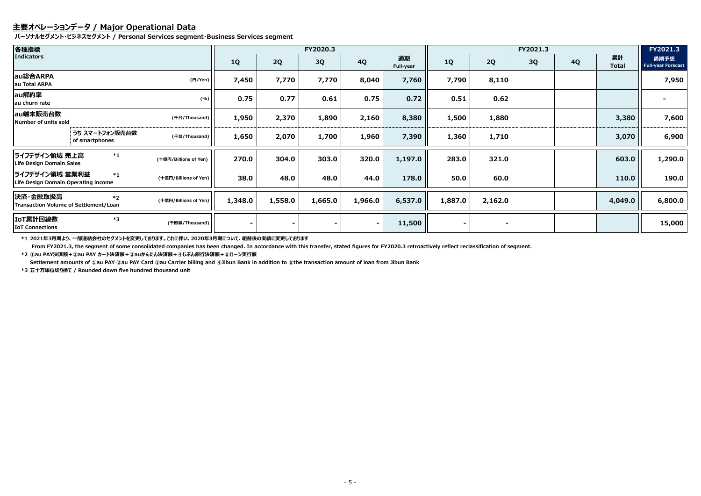## **主要オペレーションデータ / Major Operational Data**

**パーソナルセグメント・ビジネスセグメント / Personal Services segment・Business Services segment**

**\*1 2021年3月期より、一部連結会社のセグメントを変更しております。これに伴い、2020年3月期について、組替後の実績に変更しております**

| 各種指標                                                  |                                  |                       |                          |         | FY2020.3 |                |                 | FY2021.3       |         |    |           |                    | FY2021.3                          |
|-------------------------------------------------------|----------------------------------|-----------------------|--------------------------|---------|----------|----------------|-----------------|----------------|---------|----|-----------|--------------------|-----------------------------------|
| <b>Indicators</b>                                     |                                  |                       | <b>1Q</b>                | 2Q      | 3Q       | <b>4Q</b>      | 通期<br>Full-year | <b>1Q</b>      | 2Q      | 3Q | <b>4Q</b> | 累計<br><b>Total</b> | 通期予想<br><b>Full-year Forecast</b> |
| au総合ARPA<br>au Total ARPA                             |                                  | (H/Yen)               | 7,450                    | 7,770   | 7,770    | 8,040          | 7,760           | 7,790          | 8,110   |    |           |                    | 7,950                             |
| au解約率<br>au churn rate                                |                                  | (%)                   | 0.75                     | 0.77    | 0.61     | 0.75           | 0.72            | 0.51           | 0.62    |    |           |                    |                                   |
| au端末販売台数<br><b>Number of units sold</b>               |                                  | (千台/Thousand)         | 1,950                    | 2,370   | 1,890    | 2,160          | 8,380           | 1,500          | 1,880   |    |           | 3,380              | 7,600                             |
|                                                       | うち スマートフォン販売台数<br>of smartphones | (千台/Thousand)         | 1,650                    | 2,070   | 1,700    | 1,960          | 7,390           | 1,360          | 1,710   |    |           | 3,070              | 6,900                             |
| ライフデザイン領域 売上高<br>Life Design Domain Sales             | $^{\ast}1$                       | (十億円/Billions of Yen) | 270.0                    | 304.0   | 303.0    | 320.0          | 1,197.0         | 283.0          | 321.0   |    |           | 603.0              | 1,290.0                           |
| ライフデザイン領域 営業利益<br>Life Design Domain Operating income | $*_{1}$                          | (十億円/Billions of Yen) | 38.0                     | 48.0    | 48.0     | 44.0           | 178.0           | 50.0           | 60.0    |    |           | 110.0              | 190.0                             |
| 決済・金融取扱高<br>Transaction Volume of Settlement/Loan     | $*2$                             | (十億円/Billions of Yen) | 1,348.0                  | 1,558.0 | 1,665.0  | 1,966.0        | 6,537.0         | 1,887.0        | 2,162.0 |    |           | 4,049.0            | 6,800.0                           |
| IoT累計回線数<br><b>IoT Connections</b>                    | $*3$                             | (千回線/Thousand)        | $\overline{\phantom{0}}$ |         |          | $\blacksquare$ | 11,500          | $\blacksquare$ |         |    |           |                    | 15,000                            |

 **From FY2021.3, the segment of some consolidated companies has been changed. In accordance with this transfer, stated figures for FY2020.3 retroactively reflect reclassification of segment. \*2 ①au PAY決済額+②au PAY カード決済額+③auかんたん決済額+④じぶん銀行決済額+⑤ローン実行額**

**Settlement amounts of ①au PAY ②au PAY Card ③au Carrier billing and ④Jibun Bank in addition to ⑤the transaction amount of loan from Jibun Bank**

**\*3 五十万単位切り捨て / Rounded down five hundred thousand unit**